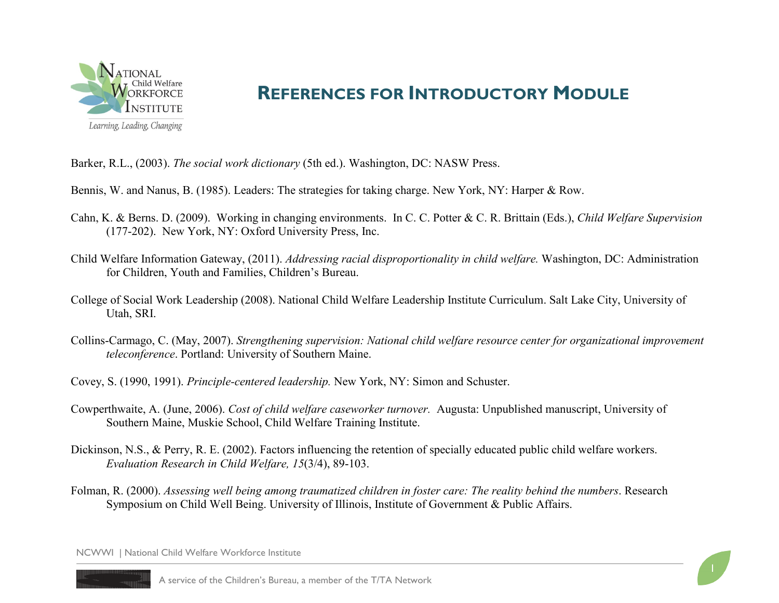

## **REFERENCES FOR INTRODUCTORY MODULE**

Barker, R.L., (2003). *The social work dictionary* (5th ed.). Washington, DC: NASW Press.

Bennis, W. and Nanus, B. (1985). Leaders: The strategies for taking charge. New York, NY: Harper & Row.

- Cahn, K. & Berns. D. (2009). Working in changing environments. In C. C. Potter & C. R. Brittain (Eds.), *Child Welfare Supervision*  (177-202). New York, NY: Oxford University Press, Inc.
- Child Welfare Information Gateway, (2011). *Addressing racial disproportionality in child welfare.* Washington, DC: Administration for Children, Youth and Families, Children's Bureau.
- College of Social Work Leadership (2008). National Child Welfare Leadership Institute Curriculum. Salt Lake City, University of Utah, SRI.
- Collins-Carmago, C. (May, 2007). *Strengthening supervision: National child welfare resource center for organizational improvement teleconference*. Portland: University of Southern Maine.
- Covey, S. (1990, 1991). *Principle-centered leadership.* New York, NY: Simon and Schuster.
- Cowperthwaite, A. (June, 2006). *Cost of child welfare caseworker turnover.* Augusta: Unpublished manuscript, University of Southern Maine, Muskie School, Child Welfare Training Institute.
- Dickinson, N.S., & Perry, R. E. (2002). Factors influencing the retention of specially educated public child welfare workers. *Evaluation Research in Child Welfare, 15*(3/4), 89-103.
- Folman, R. (2000). *Assessing well being among traumatized children in foster care: The reality behind the numbers*. Research Symposium on Child Well Being. University of Illinois, Institute of Government & Public Affairs.

NCWWI | National Child Welfare Workforce Institute

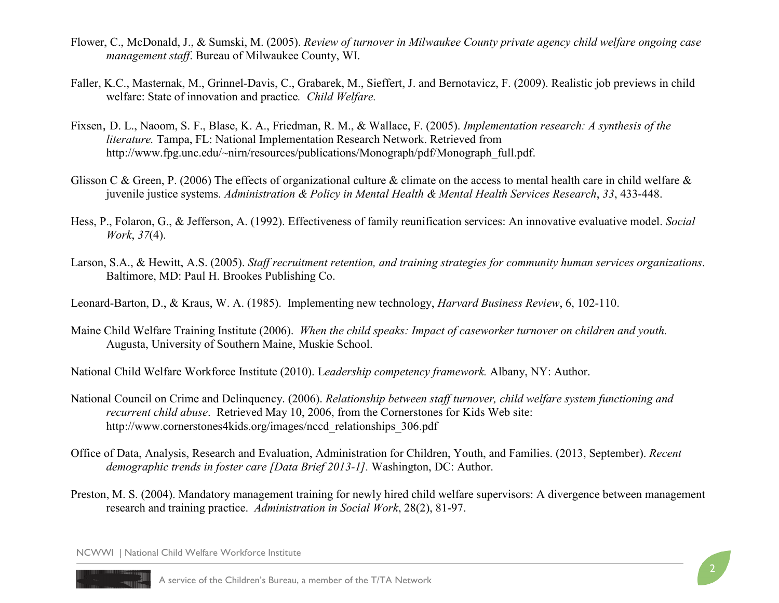- Flower, C., McDonald, J., & Sumski, M. (2005). *Review of turnover in Milwaukee County private agency child welfare ongoing case management staff*. Bureau of Milwaukee County, WI.
- Faller, K.C., Masternak, M., Grinnel-Davis, C., Grabarek, M., Sieffert, J. and Bernotavicz, F. (2009). Realistic job previews in child welfare: State of innovation and practice*. Child Welfare.*
- Fixsen, D. L., Naoom, S. F., Blase, K. A., Friedman, R. M., & Wallace, F. (2005). *Implementation research: A synthesis of the literature.* Tampa, FL: National Implementation Research Network. Retrieved from http://www.fpg.unc.edu/~nirn/resources/publications/Monograph/pdf/Monograph\_full.pdf.
- Glisson C & Green, P. (2006) The effects of organizational culture & climate on the access to mental health care in child welfare  $\&$ juvenile justice systems. *Administration & Policy in Mental Health & Mental Health Services Research*, *33*, 433-448.
- Hess, P., Folaron, G., & Jefferson, A. (1992). Effectiveness of family reunification services: An innovative evaluative model. *Social Work*, *37*(4).
- Larson, S.A., & Hewitt, A.S. (2005). *Staff recruitment retention, and training strategies for community human services organizations*. Baltimore, MD: Paul H. Brookes Publishing Co.
- Leonard-Barton, D., & Kraus, W. A. (1985). Implementing new technology, *Harvard Business Review*, 6, 102-110.
- Maine Child Welfare Training Institute (2006). *When the child speaks: Impact of caseworker turnover on children and youth.* Augusta, University of Southern Maine, Muskie School.

National Child Welfare Workforce Institute (2010). L*eadership competency framework.* Albany, NY: Author.

- National Council on Crime and Delinquency. (2006). *Relationship between staff turnover, child welfare system functioning and recurrent child abuse*. Retrieved May 10, 2006, from the Cornerstones for Kids Web site: http://www.cornerstones4kids.org/images/nccd\_relationships\_306.pdf
- Office of Data, Analysis, Research and Evaluation, Administration for Children, Youth, and Families. (2013, September). *Recent demographic trends in foster care [Data Brief 2013-1].* Washington, DC: Author.
- Preston, M. S. (2004). Mandatory management training for newly hired child welfare supervisors: A divergence between management research and training practice. *Administration in Social Work*, 28(2), 81-97.

NCWWI | National Child Welfare Workforce Institute